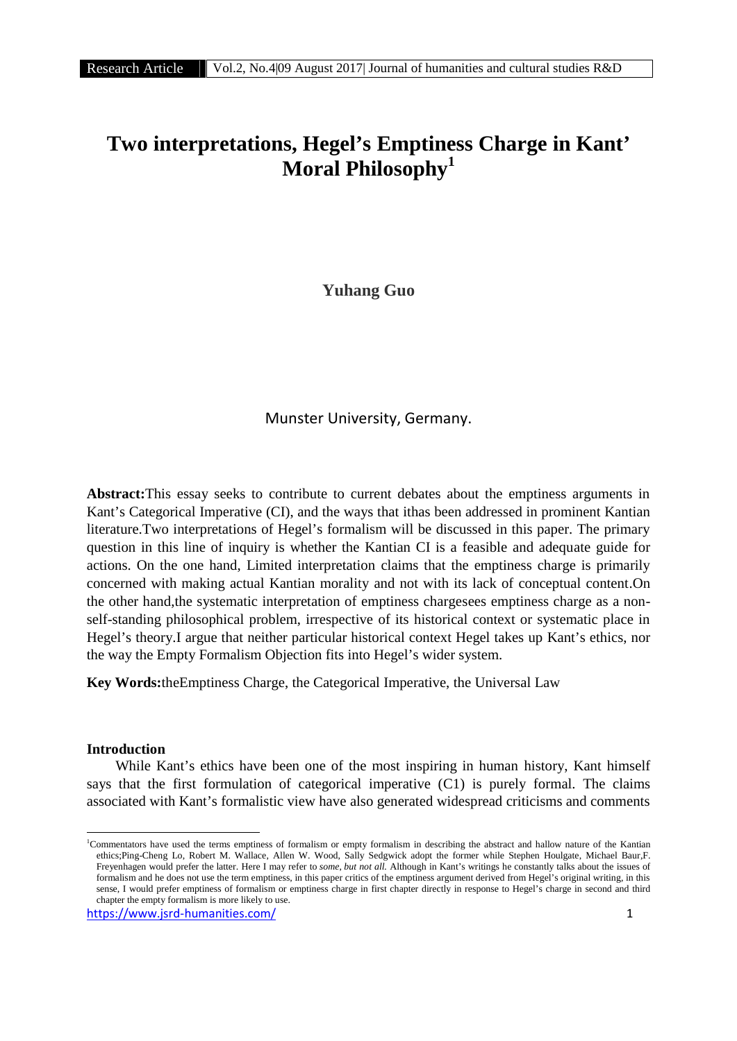# **Two interpretations, Hegel's Emptiness Charge in Kant' Moral Philosophy<sup>1</sup>**

**Yuhang Guo**

# Munster University, Germany.

**Abstract:**This essay seeks to contribute to current debates about the emptiness arguments in Kant's Categorical Imperative (CI), and the ways that ithas been addressed in prominent Kantian literature.Two interpretations of Hegel's formalism will be discussed in this paper. The primary question in this line of inquiry is whether the Kantian CI is a feasible and adequate guide for actions. On the one hand, Limited interpretation claims that the emptiness charge is primarily concerned with making actual Kantian morality and not with its lack of conceptual content.On the other hand,the systematic interpretation of emptiness chargesees emptiness charge as a non self-standing philosophical problem, irrespective of its historical context or systematic place in Hegel's theory.I argue that neither particular historical context Hegel takes up Kant's ethics, nor the way the Empty Formalism Objection fits into Hegel's wider system.

**Key Words:**theEmptiness Charge, the Categorical Imperative, the Universal Law

#### **Introduction**

While Kant's ethics have been one of the most inspiring in human history, Kant himself says that the first formulation of categorical imperative (C1) is purely formal. The claims associated with Kant's formalistic view have also generated widespread criticisms and comments

<sup>1</sup>Commentators have used the terms emptiness of formalism or empty formalism in describing the abstract and hallow nature of the Kantian ethics;Ping-Cheng Lo, Robert M. Wallace, Allen W. Wood, Sally Sedgwick adopt the former while Stephen Houlgate, Michael Baur,F. Freyenhagen would prefer the latter. Here I may refer to *some*, *but not all.* Although in Kant's writings he constantly talks about the issues of formalism and he does not use the term emptiness, in this paper critics of the emptiness argument derived from Hegel's original writing, in this sense, I would prefer emptiness of formalism or emptiness charge in first chapter directly in response to Hegel's charge in second and third chapter the empty formalism is more likely to use.

https://www.jsrd-humanities.com/ 1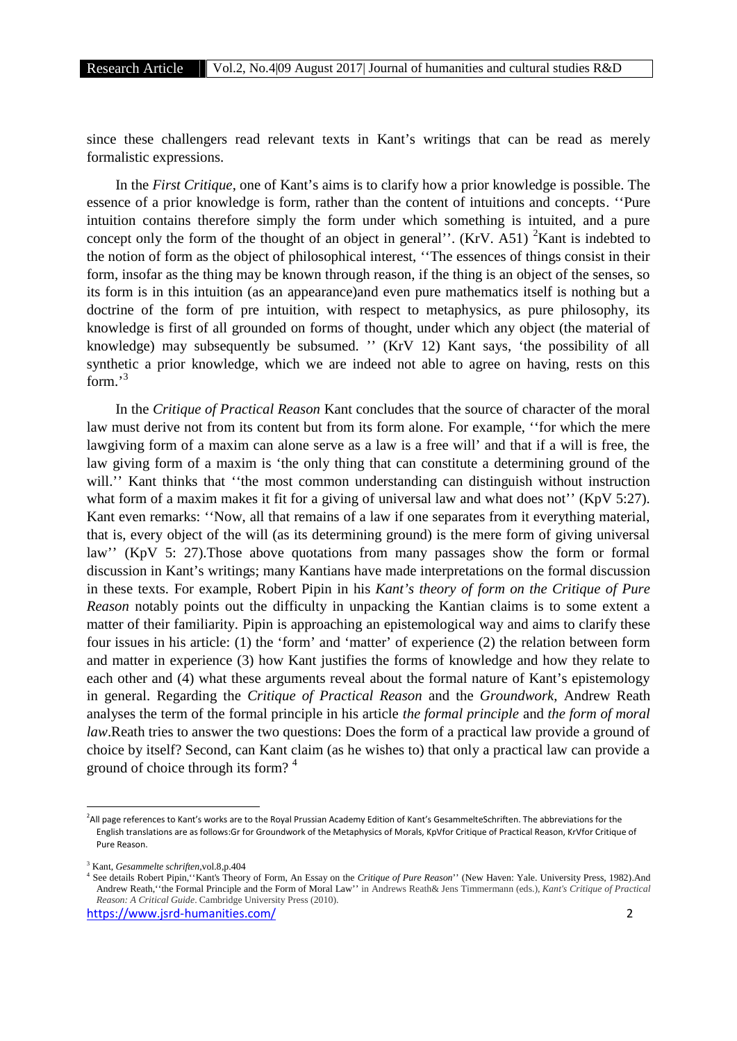since these challengers read relevant texts in Kant's writings that can be read as merely formalistic expressions.

In the *First Critique*, one of Kant's aims is to clarify how a prior knowledge is possible. The essence of a prior knowledge is form, rather than the content of intuitions and concepts. ''Pure intuition contains therefore simply the form under which something is intuited, and a pure concept only the form of the thought of an object in general''. (KrV. A51)  $2$ Kant is indebted to the notion of form as the object of philosophical interest, ''The essences of things consist in their form, insofar as the thing may be known through reason, if the thing is an object of the senses, so its form is in this intuition (as an appearance)and even pure mathematics itself is nothing but a doctrine of the form of pre intuition, with respect to metaphysics, as pure philosophy, its knowledge is first of all grounded on forms of thought, under which any object (the material of knowledge) may subsequently be subsumed. '' (KrV 12) Kant says, 'the possibility of all synthetic a prior knowledge, which we are indeed not able to agree on having, rests on this form.'<sup>3</sup>

In the *Critique of Practical Reason* Kant concludes that the source of character of the moral law must derive not from its content but from its form alone. For example, ''for which the mere lawgiving form of a maxim can alone serve as a law is a free will' and that if a will is free, the law giving form of a maxim is 'the only thing that can constitute a determining ground of the will." Kant thinks that "the most common understanding can distinguish without instruction what form of a maxim makes it fit for a giving of universal law and what does not" (KpV 5:27). Kant even remarks: ''Now, all that remains of a law if one separates from it everything material, that is, every object of the will (as its determining ground) is the mere form of giving universal law'' (KpV 5: 27).Those above quotations from many passages show the form or formal discussion in Kant's writings; many Kantians have made interpretations on the formal discussion in these texts. For example, Robert Pipin in his *Kant's theory of form on the Critique of Pure Reason* notably points out the difficulty in unpacking the Kantian claims is to some extent a matter of their familiarity. Pipin is approaching an epistemological way and aims to clarify these four issues in his article: (1) the 'form' and 'matter' of experience (2) the relation between form and matter in experience (3) how Kant justifies the forms of knowledge and how they relate to each other and (4) what these arguments reveal about the formal nature of Kant's epistemology in general. Regarding the *Critique of Practical Reason* and the *Groundwork*, Andrew Reath analyses the term of the formal principle in his article *the formal principle* and *the form of moral law*.Reath tries to answer the two questions: Does the form of a practical law provide a ground of choice by itself? Second, can Kant claim (as he wishes to) that only a practical law can provide a ground of choice through its form? 4

<sup>&</sup>lt;sup>2</sup>All page references to Kant's works are to the Royal Prussian Academy Edition of Kant's GesammelteSchriften. The abbreviations for the English translations are as follows:Gr for Groundwork of the Metaphysics of Morals, KpVfor Critique of Practical Reason, KrVfor Critique of Pure Reason.

<sup>3</sup> Kant, *Gesammelte schriften*,vol.8,p.404

<sup>4</sup> See details Robert Pipin,''Kant's Theory of Form, An Essay on the *Critique of Pure Reason*'' (New Haven: Yale. University Press, 1982).And Andrew Reath,''the Formal Principle and the Form of Moral Law'' in Andrews Reath& Jens Timmermann (eds.), *Kant's Critique of Practical Reason: A Critical Guide*. Cambridge University Press (2010).

https://www.jsrd-humanities.com/ 2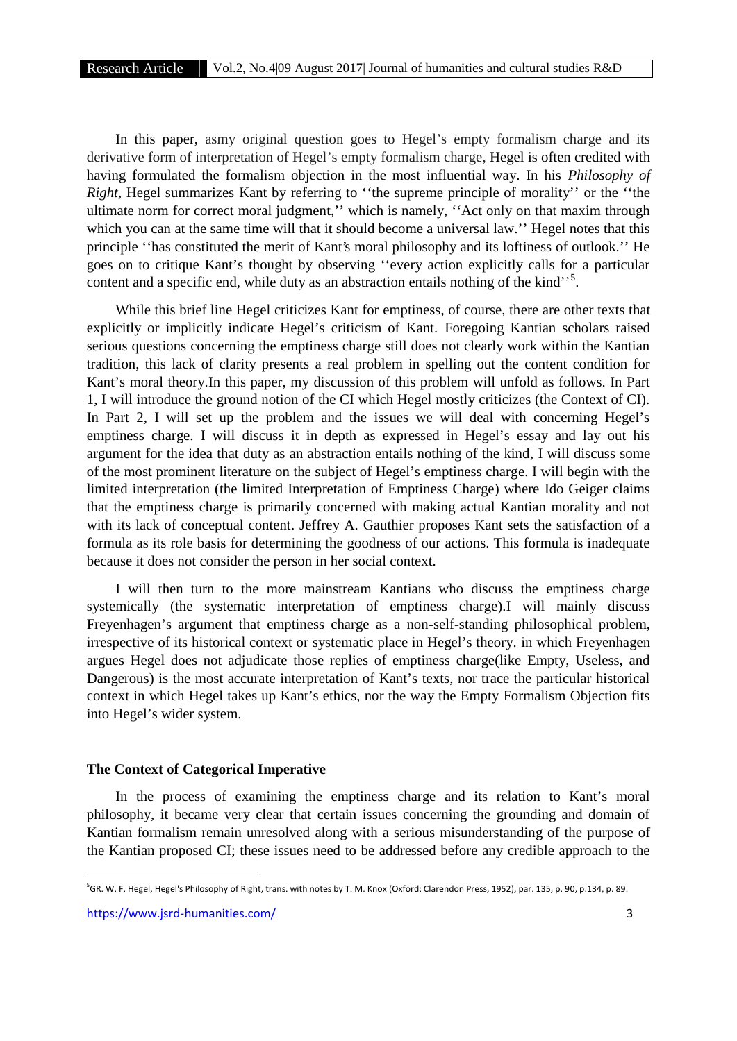In this paper, asmy original question goes to Hegel's empty formalism charge and its derivative form of interpretation of Hegel's empty formalism charge, Hegel is often credited with having formulated the formalism objection in the most influential way. In his *Philosophy of Right*, Hegel summarizes Kant by referring to ''the supreme principle of morality'' or the ''the ultimate norm for correct moral judgment,'' which is namely, ''Act only on that maxim through which you can at the same time will that it should become a universal law." Hegel notes that this principle ''has constituted the merit of Kant's moral philosophy and its loftiness of outlook.'' He goes on to critique Kant's thought by observing ''every action explicitly calls for a particular content and a specific end, while duty as an abstraction entails nothing of the kind"<sup>5</sup>.

While this brief line Hegel criticizes Kant for emptiness, of course, there are other texts that explicitly or implicitly indicate Hegel's criticism of Kant. Foregoing Kantian scholars raised serious questions concerning the emptiness charge still does not clearly work within the Kantian tradition, this lack of clarity presents a real problem in spelling out the content condition for Kant's moral theory.In this paper, my discussion of this problem will unfold as follows. In Part 1, I will introduce the ground notion of the CI which Hegel mostly criticizes (the Context of CI). In Part 2, I will set up the problem and the issues we will deal with concerning Hegel's emptiness charge. I will discuss it in depth as expressed in Hegel's essay and lay out his argument for the idea that duty as an abstraction entails nothing of the kind, I will discuss some of the most prominent literature on the subject of Hegel's emptiness charge. I will begin with the limited interpretation (the limited Interpretation of Emptiness Charge) where Ido Geiger claims that the emptiness charge is primarily concerned with making actual Kantian morality and not with its lack of conceptual content. Jeffrey A. Gauthier proposes Kant sets the satisfaction of a formula as its role basis for determining the goodness of our actions. This formula is inadequate because it does not consider the person in her social context.

I will then turn to the more mainstream Kantians who discuss the emptiness charge systemically (the systematic interpretation of emptiness charge).I will mainly discuss Freyenhagen's argument that emptiness charge as a non-self-standing philosophical problem, irrespective of its historical context or systematic place in Hegel's theory. in which Freyenhagen argues Hegel does not adjudicate those replies of emptiness charge(like Empty, Useless, and Dangerous) is the most accurate interpretation of Kant's texts, nor trace the particular historical context in which Hegel takes up Kant's ethics, nor the way the Empty Formalism Objection fits into Hegel's wider system.

#### **The Context of Categorical Imperative**

In the process of examining the emptiness charge and its relation to Kant's moral philosophy, it became very clear that certain issues concerning the grounding and domain of Kantian formalism remain unresolved along with a serious misunderstanding of the purpose of the Kantian proposed CI; these issues need to be addressed before any credible approach to the

<sup>&</sup>lt;sup>5</sup>GR. W. F. Hegel, Hegel's Philosophy of Right, trans. with notes by T. M. Knox (Oxford: Clarendon Press, 1952), par. 135, p. 90, p.134, p. 89.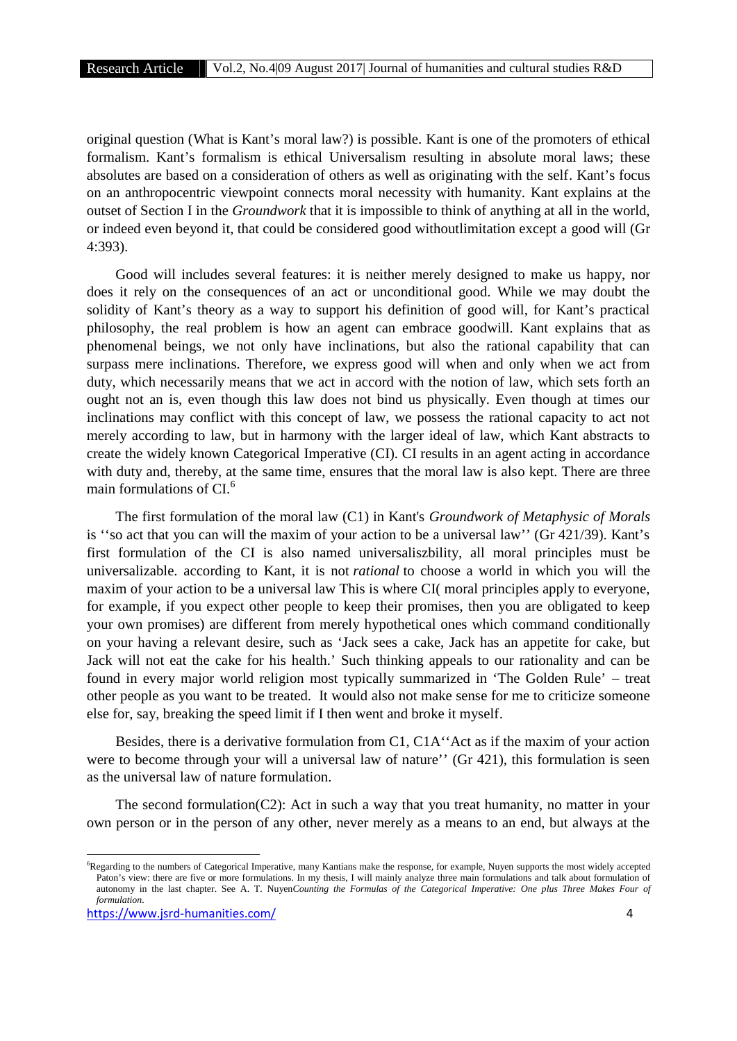original question (What is Kant's moral law?) is possible. Kant is one of the promoters of ethical formalism. Kant's formalism is ethical Universalism resulting in absolute moral laws; these absolutes are based on a consideration of others as well as originating with the self. Kant's focus on an anthropocentric viewpoint connects moral necessity with humanity. Kant explains at the outset of Section I in the *Groundwork* that it is impossible to think of anything at all in the world, or indeed even beyond it, that could be considered good withoutlimitation except a good will (Gr 4:393).

Good will includes several features: it is neither merely designed to make us happy, nor does it rely on the consequences of an act or unconditional good. While we may doubt the solidity of Kant's theory as a way to support his definition of good will, for Kant's practical philosophy, the real problem is how an agent can embrace goodwill. Kant explains that as phenomenal beings, we not only have inclinations, but also the rational capability that can surpass mere inclinations. Therefore, we express good will when and only when we act from duty, which necessarily means that we act in accord with the notion of law, which sets forth an ought not an is, even though this law does not bind us physically. Even though at times our inclinations may conflict with this concept of law, we possess the rational capacity to act not merely according to law, but in harmony with the larger ideal of law, which Kant abstracts to create the widely known Categorical Imperative (CI). CI results in an agent acting in accordance with duty and, thereby, at the same time, ensures that the moral law is also kept. There are three main formulations of CL<sup>6</sup>

The first formulation of the moral law (C1) in Kant's *Groundwork of Metaphysic of Morals* is ''so act that you can will the maxim of your action to be a universal law'' (Gr 421/39). Kant's first formulation of the CI is also named universaliszbility, all moral principles must be universalizable. according to Kant, it is not *rational* to choose a world in which you will the maxim of your action to be a universal law This is where CI( moral principles apply to everyone, for example, if you expect other people to keep their promises, then you are obligated to keep your own promises) are different from merely hypothetical ones which command conditionally on your having a relevant desire, such as 'Jack sees a cake, Jack has an appetite for cake, but Jack will not eat the cake for his health.' Such thinking appeals to our rationality and can be found in every major world religion most typically summarized in 'The Golden Rule' – treat other people as you want to be treated. It would also not make sense for me to criticize someone else for, say, breaking the speed limit if I then went and broke it myself.

Besides, there is a derivative formulation from C1, C1A''Act as if the maxim of your action were to become through your will a universal law of nature'' (Gr 421), this formulation is seen as the universal law of nature formulation.

The second formulation(C2): Act in such a way that you treat humanity, no matter in your own person or in the person of any other, never merely as a means to an end, but always at the

<sup>6</sup>Regarding to the numbers of Categorical Imperative, many Kantians make the response, for example, Nuyen supports the most widely accepted Paton's view: there are five or more formulations. In my thesis, I will mainly analyze three main formulations and talk about formulation of autonomy in the last chapter. See A. T. Nuyen*Counting the Formulas of the Categorical Imperative: One plus Three Makes Four of formulation.*

https://www.jsrd-humanities.com/ 4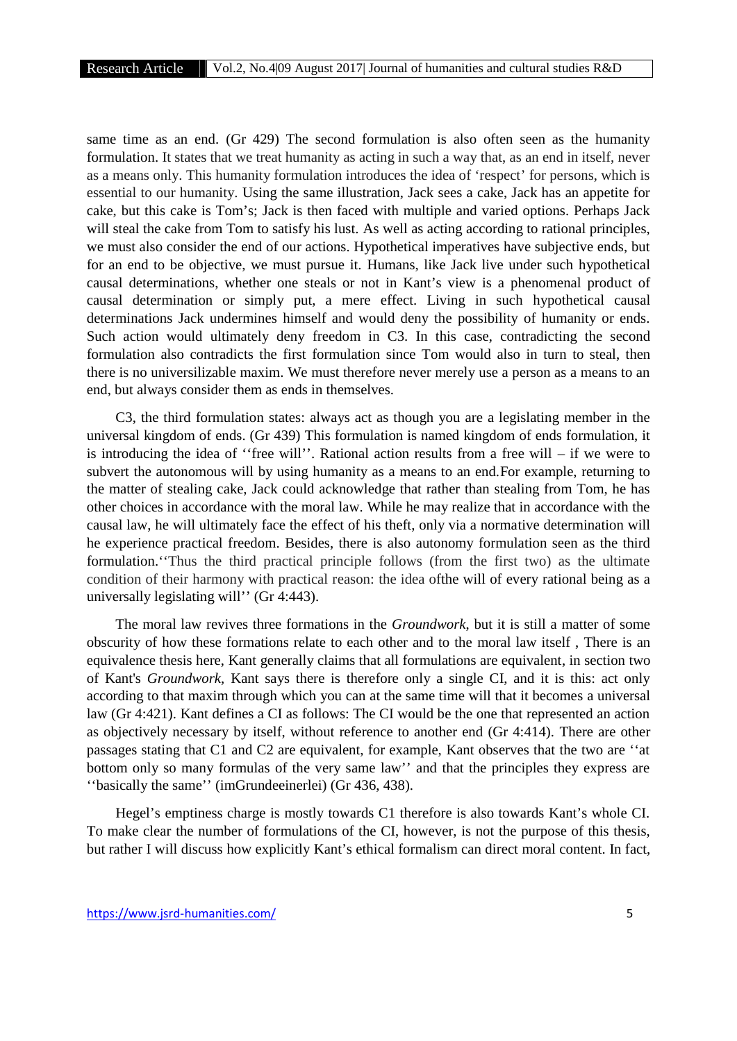same time as an end. (Gr 429) The second formulation is also often seen as the humanity formulation. It states that we treat humanity as acting in such a way that, as an end in itself, never as a means only. This humanity formulation introduces the idea of 'respect' for persons, which is essential to our humanity. Using the same illustration, Jack sees a cake, Jack has an appetite for cake, but this cake is Tom's; Jack is then faced with multiple and varied options. Perhaps Jack will steal the cake from Tom to satisfy his lust. As well as acting according to rational principles, we must also consider the end of our actions. Hypothetical imperatives have subjective ends, but for an end to be objective, we must pursue it. Humans, like Jack live under such hypothetical causal determinations, whether one steals or not in Kant's view is a phenomenal product of causal determination or simply put, a mere effect. Living in such hypothetical causal determinations Jack undermines himself and would deny the possibility of humanity or ends. Such action would ultimately deny freedom in C3. In this case, contradicting the second formulation also contradicts the first formulation since Tom would also in turn to steal, then there is no universilizable maxim. We must therefore never merely use a person as a means to an end, but always consider them as ends in themselves.

C3, the third formulation states: always act as though you are a legislating member in the universal kingdom of ends. (Gr 439) This formulation is named kingdom of ends formulation, it is introducing the idea of ''free will''. Rational action results from a free will – if we were to subvert the autonomous will by using humanity as a means to an end.For example, returning to the matter of stealing cake, Jack could acknowledge that rather than stealing from Tom, he has other choices in accordance with the moral law. While he may realize that in accordance with the causal law, he will ultimately face the effect of his theft, only via a normative determination will he experience practical freedom. Besides, there is also autonomy formulation seen as the third formulation.''Thus the third practical principle follows (from the first two) as the ultimate condition of their harmony with practical reason: the idea ofthe will of every rational being as a universally legislating will'' (Gr 4:443).

The moral law revives three formations in the *Groundwork*, but it is still a matter of some obscurity of how these formations relate to each other and to the moral law itself , There is an equivalence thesis here, Kant generally claims that all formulations are equivalent, in section two of Kant's *Groundwork*, Kant says there is therefore only a single CI, and it is this: act only according to that maxim through which you can at the same time will that it becomes a universal law (Gr 4:421). Kant defines a CI as follows: The CI would be the one that represented an action as objectively necessary by itself, without reference to another end (Gr 4:414). There are other passages stating that C1 and C2 are equivalent, for example, Kant observes that the two are ''at bottom only so many formulas of the very same law'' and that the principles they express are ''basically the same'' (imGrundeeinerlei) (Gr 436, 438).

Hegel's emptiness charge is mostly towards C1 therefore is also towards Kant's whole CI. To make clear the number of formulations of the CI, however, is not the purpose of this thesis, but rather I will discuss how explicitly Kant's ethical formalism can direct moral content. In fact,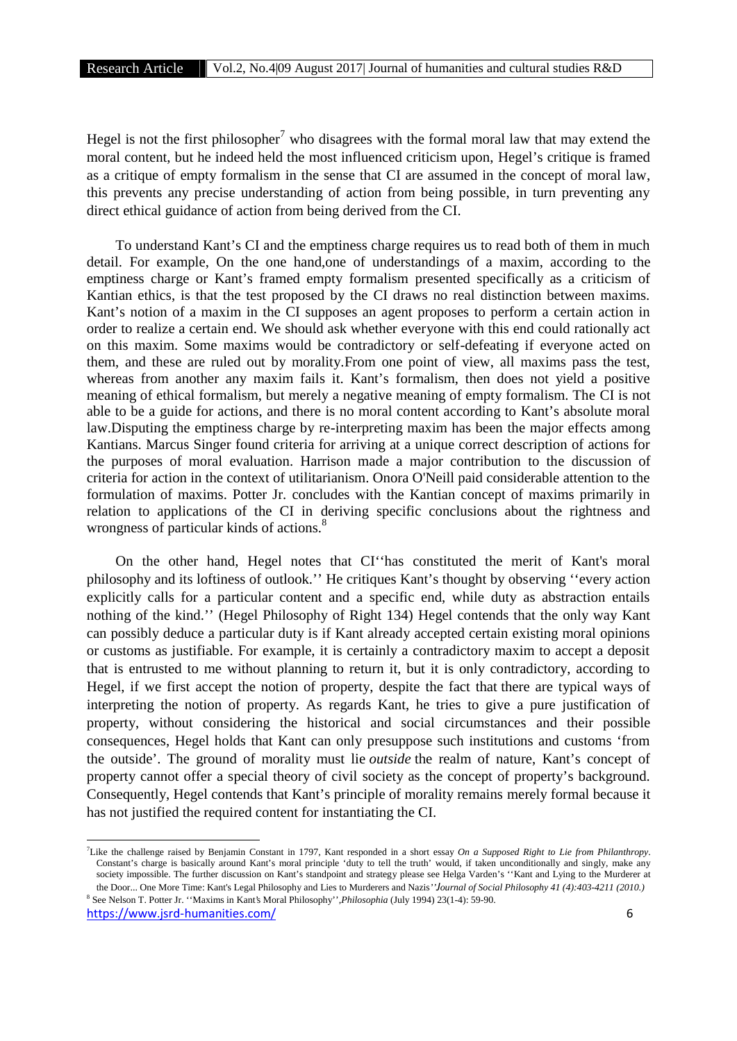Hegel is not the first philosopher<sup>7</sup> who disagrees with the formal moral law that may extend the moral content, but he indeed held the most influenced criticism upon, Hegel's critique is framed as a critique of empty formalism in the sense that CI are assumed in the concept of moral law, this prevents any precise understanding of action from being possible, in turn preventing any direct ethical guidance of action from being derived from the CI.

To understand Kant's CI and the emptiness charge requires us to read both of them in much detail. For example, On the one hand,one of understandings of a maxim, according to the emptiness charge or Kant's framed empty formalism presented specifically as a criticism of Kantian ethics, is that the test proposed by the CI draws no real distinction between maxims. Kant's notion of a maxim in the CI supposes an agent proposes to perform a certain action in order to realize a certain end. We should ask whether everyone with this end could rationally act on this maxim. Some maxims would be contradictory or self-defeating if everyone acted on them, and these are ruled out by morality.From one point of view, all maxims pass the test, whereas from another any maxim fails it. Kant's formalism, then does not yield a positive meaning of ethical formalism, but merely a negative meaning of empty formalism. The CI is not able to be a guide for actions, and there is no moral content according to Kant's absolute moral law.Disputing the emptiness charge by re-interpreting maxim has been the major effects among Kantians. Marcus Singer found criteria for arriving at a unique correct description of actions for the purposes of moral evaluation. Harrison made a major contribution to the discussion of criteria for action in the context of utilitarianism. Onora O'Neill paid considerable attention to the formulation of maxims. Potter Jr. concludes with the Kantian concept of maxims primarily in relation to applications of the CI in deriving specific conclusions about the rightness and wrongness of particular kinds of actions.<sup>8</sup>

On the other hand, Hegel notes that CI''has constituted the merit of Kant's moral philosophy and its loftiness of outlook.'' He critiques Kant's thought by observing ''every action explicitly calls for a particular content and a specific end, while duty as abstraction entails nothing of the kind.'' (Hegel Philosophy of Right 134) Hegel contends that the only way Kant can possibly deduce a particular duty is if Kant already accepted certain existing moral opinions or customs as justifiable. For example, it is certainly a contradictory maxim to accept a deposit that is entrusted to me without planning to return it, but it is only contradictory, according to Hegel, if we first accept the notion of property, despite the fact that there are typical ways of interpreting the notion of property. As regards Kant, he tries to give a pure justification of property, without considering the historical and social circumstances and their possible consequences, Hegel holds that Kant can only presuppose such institutions and customs 'from the outside'. The ground of morality must lie *outside* the realm of nature, Kant's concept of property cannot offer a special theory of civil society as the concept of property's background. Consequently, Hegel contends that Kant's principle of morality remains merely formal because it has not justified the required content for instantiating the CI.

<sup>7</sup>Like the challenge raised by Benjamin Constant in 1797, Kant responded in a short essay *On a Supposed Right to Lie from Philanthropy*. Constant's charge is basically around Kant's moral principle 'duty to tell the truth' would, if taken unconditionally and singly, make any society impossible. The further discussion on Kant's standpoint and strategy please see Helga Varden's ''Kant and Lying to the Murderer at the Door... One More Time: Kant's Legal Philosophy and Lies to Murderers and Nazis*''Journal of Social Philosophy 41 (4):403-4211 (2010.)* <sup>8</sup> See Nelson T. Potter Jr. ''Maxims in Kant's Moral Philosophy'',*Philosophia* (July 1994) 23(1-4): 59-90.

https://www.jsrd-humanities.com/ 6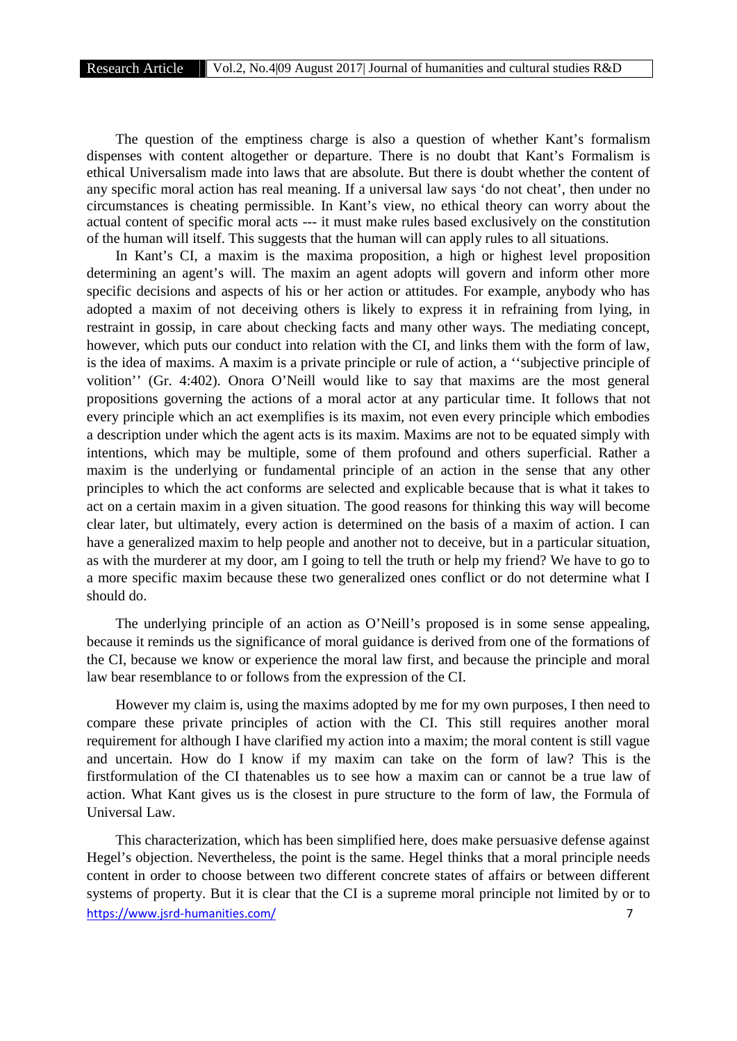The question of the emptiness charge is also a question of whether Kant's formalism dispenses with content altogether or departure. There is no doubt that Kant's Formalism is ethical Universalism made into laws that are absolute. But there is doubt whether the content of any specific moral action has real meaning. If a universal law says 'do not cheat', then under no circumstances is cheating permissible. In Kant's view, no ethical theory can worry about the actual content of specific moral acts --- it must make rules based exclusively on the constitution of the human will itself. This suggests that the human will can apply rules to all situations.

In Kant's CI, a maxim is the maxima proposition, a high or highest level proposition determining an agent's will. The maxim an agent adopts will govern and inform other more specific decisions and aspects of his or her action or attitudes. For example, anybody who has adopted a maxim of not deceiving others is likely to express it in refraining from lying, in restraint in gossip, in care about checking facts and many other ways. The mediating concept, however, which puts our conduct into relation with the CI, and links them with the form of law, is the idea of maxims. A maxim is a private principle or rule of action, a ''subjective principle of volition'' (Gr. 4:402). Onora O'Neill would like to say that maxims are the most general propositions governing the actions of a moral actor at any particular time. It follows that not every principle which an act exemplifies is its maxim, not even every principle which embodies a description under which the agent acts is its maxim. Maxims are not to be equated simply with intentions, which may be multiple, some of them profound and others superficial. Rather a maxim is the underlying or fundamental principle of an action in the sense that any other principles to which the act conforms are selected and explicable because that is what it takes to act on a certain maxim in a given situation. The good reasons for thinking this way will become clear later, but ultimately, every action is determined on the basis of a maxim of action. I can have a generalized maxim to help people and another not to deceive, but in a particular situation, as with the murderer at my door, am I going to tell the truth or help my friend? We have to go to a more specific maxim because these two generalized ones conflict or do not determine what I should do.

The underlying principle of an action as O'Neill's proposed is in some sense appealing, because it reminds us the significance of moral guidance is derived from one of the formations of the CI, because we know or experience the moral law first, and because the principle and moral law bear resemblance to or follows from the expression of the CI.

However my claim is, using the maxims adopted by me for my own purposes, I then need to compare these private principles of action with the CI. This still requires another moral requirement for although I have clarified my action into a maxim; the moral content is still vague and uncertain. How do I know if my maxim can take on the form of law? This is the firstformulation of the CI thatenables us to see how a maxim can or cannot be a true law of action. What Kant gives us is the closest in pure structure to the form of law, the Formula of Universal Law.

https://www.jsrd-humanities.com/ 7 This characterization, which has been simplified here, does make persuasive defense against Hegel's objection. Nevertheless, the point is the same. Hegel thinks that a moral principle needs content in order to choose between two different concrete states of affairs or between different systems of property. But it is clear that the CI is a supreme moral principle not limited by or to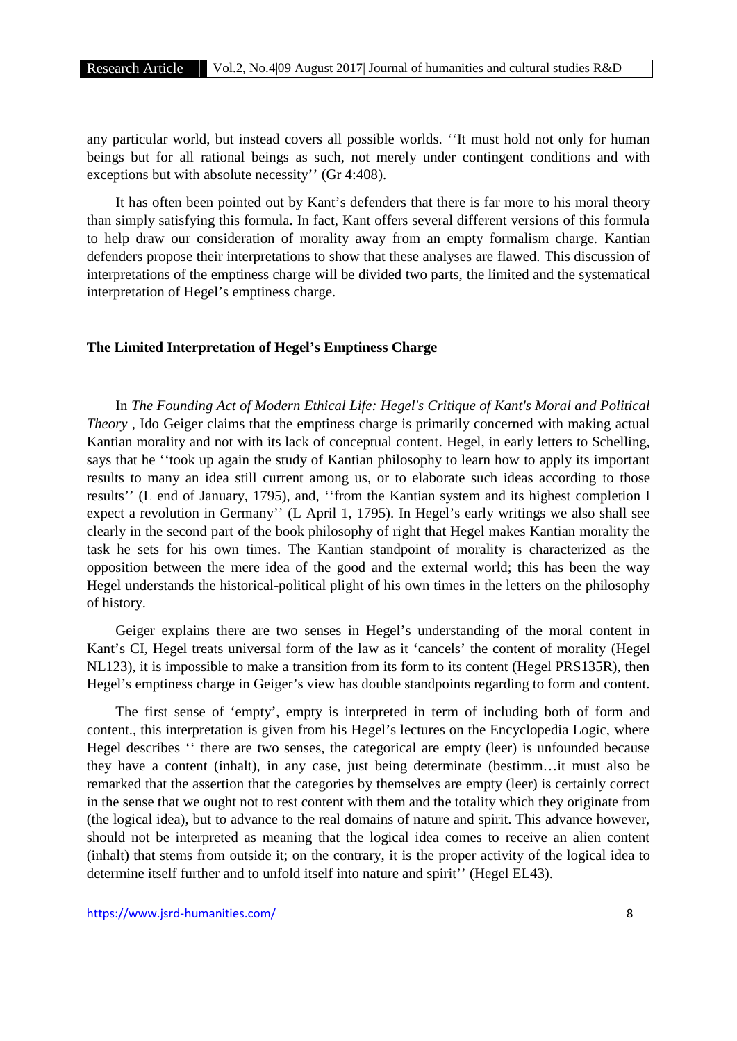any particular world, but instead covers all possible worlds. ''It must hold not only for human beings but for all rational beings as such, not merely under contingent conditions and with exceptions but with absolute necessity'' (Gr 4:408).

It has often been pointed out by Kant's defenders that there is far more to his moral theory than simply satisfying this formula. In fact, Kant offers several different versions of this formula to help draw our consideration of morality away from an empty formalism charge. Kantian defenders propose their interpretations to show that these analyses are flawed. This discussion of interpretations of the emptiness charge will be divided two parts, the limited and the systematical interpretation of Hegel's emptiness charge.

## **The Limited Interpretation of Hegel's Emptiness Charge**

In *The Founding Act of Modern Ethical Life: Hegel's Critique of Kant's Moral and Political Theory* , Ido Geiger claims that the emptiness charge is primarily concerned with making actual Kantian morality and not with its lack of conceptual content. Hegel, in early letters to Schelling, says that he ''took up again the study of Kantian philosophy to learn how to apply its important results to many an idea still current among us, or to elaborate such ideas according to those results'' (L end of January, 1795), and, ''from the Kantian system and its highest completion I expect a revolution in Germany'' (L April 1, 1795). In Hegel's early writings we also shall see clearly in the second part of the book philosophy of right that Hegel makes Kantian morality the task he sets for his own times. The Kantian standpoint of morality is characterized as the opposition between the mere idea of the good and the external world; this has been the way Hegel understands the historical-political plight of his own times in the letters on the philosophy of history.

Geiger explains there are two senses in Hegel's understanding of the moral content in Kant's CI, Hegel treats universal form of the law as it 'cancels' the content of morality (Hegel NL123), it is impossible to make a transition from its form to its content (Hegel PRS135R), then Hegel's emptiness charge in Geiger's view has double standpoints regarding to form and content.

The first sense of 'empty', empty is interpreted in term of including both of form and content., this interpretation is given from his Hegel's lectures on the Encyclopedia Logic, where Hegel describes '' there are two senses, the categorical are empty (leer) is unfounded because they have a content (inhalt), in any case, just being determinate (bestimm…it must also be remarked that the assertion that the categories by themselves are empty (leer) is certainly correct in the sense that we ought not to rest content with them and the totality which they originate from (the logical idea), but to advance to the real domains of nature and spirit. This advance however, should not be interpreted as meaning that the logical idea comes to receive an alien content (inhalt) that stems from outside it; on the contrary, it is the proper activity of the logical idea to determine itself further and to unfold itself into nature and spirit'' (Hegel EL43).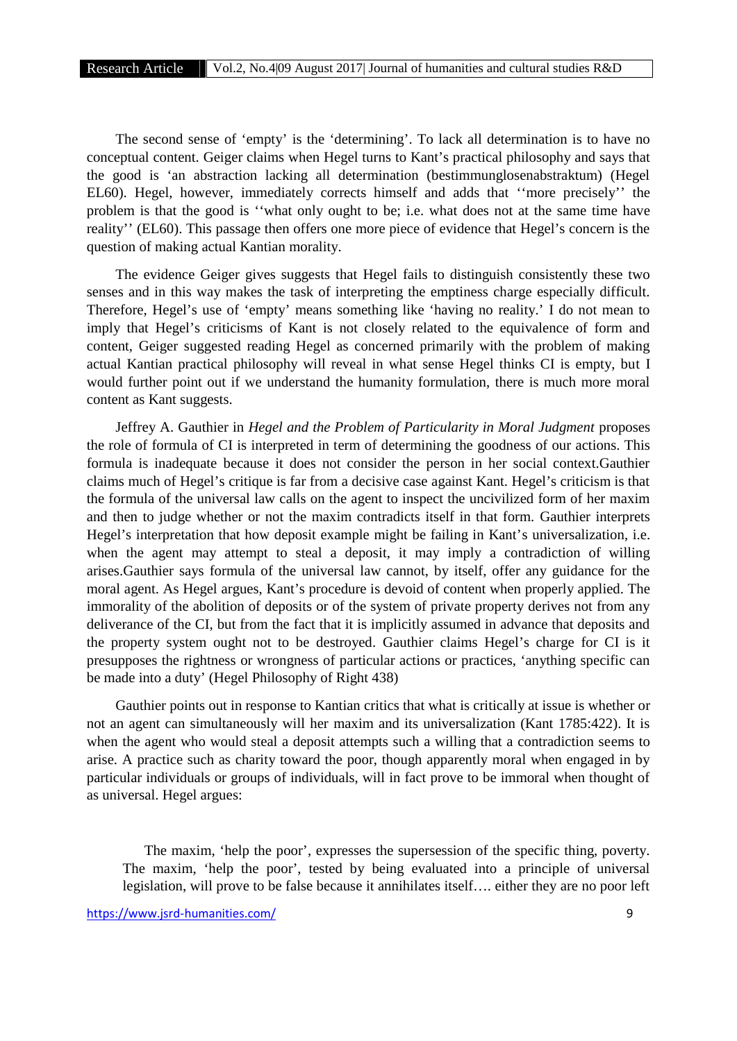The second sense of 'empty' is the 'determining'. To lack all determination is to have no conceptual content. Geiger claims when Hegel turns to Kant's practical philosophy and says that the good is 'an abstraction lacking all determination (bestimmunglosenabstraktum) (Hegel EL60). Hegel, however, immediately corrects himself and adds that ''more precisely'' the problem is that the good is ''what only ought to be; i.e. what does not at the same time have reality'' (EL60). This passage then offers one more piece of evidence that Hegel's concern is the question of making actual Kantian morality.

The evidence Geiger gives suggests that Hegel fails to distinguish consistently these two senses and in this way makes the task of interpreting the emptiness charge especially difficult. Therefore, Hegel's use of 'empty' means something like 'having no reality.' I do not mean to imply that Hegel's criticisms of Kant is not closely related to the equivalence of form and content, Geiger suggested reading Hegel as concerned primarily with the problem of making actual Kantian practical philosophy will reveal in what sense Hegel thinks CI is empty, but I would further point out if we understand the humanity formulation, there is much more moral content as Kant suggests.

Jeffrey A. Gauthier in *Hegel and the Problem of Particularity in Moral Judgment* proposes the role of formula of CI is interpreted in term of determining the goodness of our actions. This formula is inadequate because it does not consider the person in her social context.Gauthier claims much of Hegel's critique is far from a decisive case against Kant. Hegel's criticism is that the formula of the universal law calls on the agent to inspect the uncivilized form of her maxim and then to judge whether or not the maxim contradicts itself in that form. Gauthier interprets Hegel's interpretation that how deposit example might be failing in Kant's universalization, i.e. when the agent may attempt to steal a deposit, it may imply a contradiction of willing arises.Gauthier says formula of the universal law cannot, by itself, offer any guidance for the moral agent. As Hegel argues, Kant's procedure is devoid of content when properly applied. The immorality of the abolition of deposits or of the system of private property derives not from any deliverance of the CI, but from the fact that it is implicitly assumed in advance that deposits and the property system ought not to be destroyed. Gauthier claims Hegel's charge for CI is it presupposes the rightness or wrongness of particular actions or practices, 'anything specific can be made into a duty' (Hegel Philosophy of Right 438)

Gauthier points out in response to Kantian critics that what is critically at issue is whether or not an agent can simultaneously will her maxim and its universalization (Kant 1785:422). It is when the agent who would steal a deposit attempts such a willing that a contradiction seems to arise. A practice such as charity toward the poor, though apparently moral when engaged in by particular individuals or groups of individuals, will in fact prove to be immoral when thought of as universal. Hegel argues:

The maxim, 'help the poor', expresses the supersession of the specific thing, poverty. The maxim, 'help the poor', tested by being evaluated into a principle of universal legislation, will prove to be false because it annihilates itself…. either they are no poor left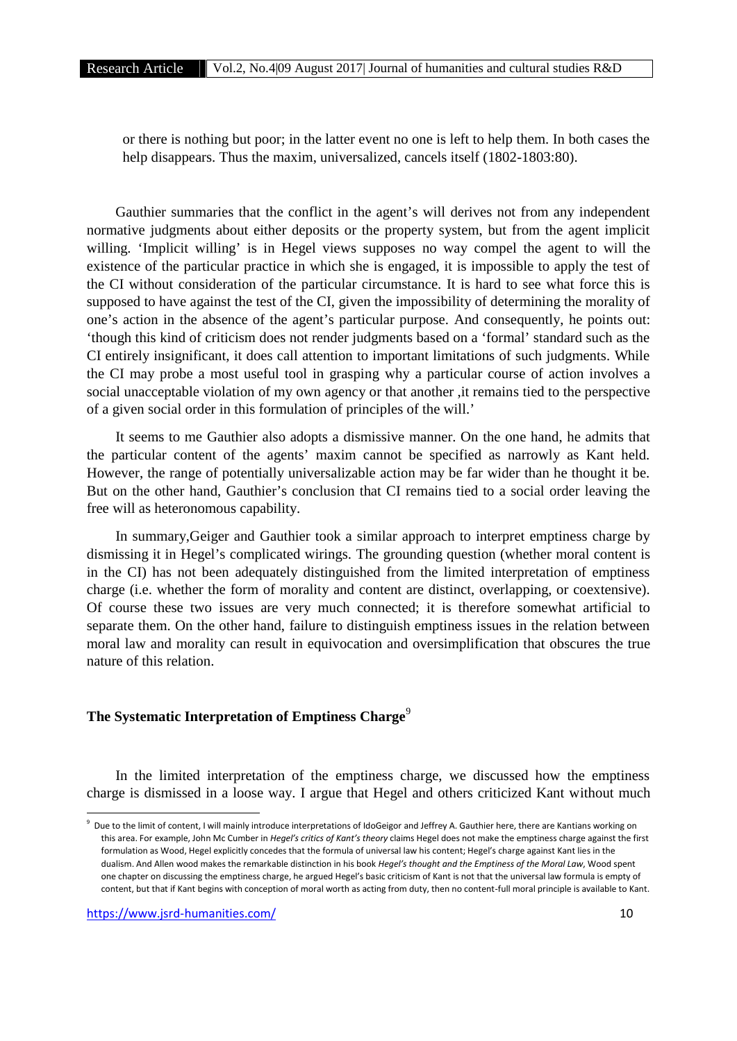or there is nothing but poor; in the latter event no one is left to help them. In both cases the help disappears. Thus the maxim, universalized, cancels itself (1802-1803:80).

Gauthier summaries that the conflict in the agent's will derives not from any independent normative judgments about either deposits or the property system, but from the agent implicit willing. 'Implicit willing' is in Hegel views supposes no way compel the agent to will the existence of the particular practice in which she is engaged, it is impossible to apply the test of the CI without consideration of the particular circumstance. It is hard to see what force this is supposed to have against the test of the CI, given the impossibility of determining the morality of one's action in the absence of the agent's particular purpose. And consequently, he points out: 'though this kind of criticism does not render judgments based on a 'formal' standard such as the CI entirely insignificant, it does call attention to important limitations of such judgments. While the CI may probe a most useful tool in grasping why a particular course of action involves a social unacceptable violation of my own agency or that another ,it remains tied to the perspective of a given social order in this formulation of principles of the will.'

It seems to me Gauthier also adopts a dismissive manner. On the one hand, he admits that the particular content of the agents' maxim cannot be specified as narrowly as Kant held. However, the range of potentially universalizable action may be far wider than he thought it be. But on the other hand, Gauthier's conclusion that CI remains tied to a social order leaving the free will as heteronomous capability.

In summary,Geiger and Gauthier took a similar approach to interpret emptiness charge by dismissing it in Hegel's complicated wirings. The grounding question (whether moral content is in the CI) has not been adequately distinguished from the limited interpretation of emptiness charge (i.e. whether the form of morality and content are distinct, overlapping, or coextensive). Of course these two issues are very much connected; it is therefore somewhat artificial to separate them. On the other hand, failure to distinguish emptiness issues in the relation between moral law and morality can result in equivocation and oversimplification that obscures the true nature of this relation.

# **The Systematic Interpretation of Emptiness Charge**<sup>9</sup>

In the limited interpretation of the emptiness charge, we discussed how the emptiness charge is dismissed in a loose way. I argue that Hegel and others criticized Kant without much

<sup>&</sup>lt;sup>9</sup> Due to the limit of content, I will mainly introduce interpretations of IdoGeigor and Jeffrey A. Gauthier here, there are Kantians working on this area. For example, John Mc Cumber in *Hegel's critics of Kant's theory* claims Hegel does not make the emptiness charge against the first formulation as Wood, Hegel explicitly concedes that the formula of universal law his content; Hegel's charge against Kant lies in the dualism. And Allen wood makes the remarkable distinction in his book *Hegel's thought and the Emptiness of the Moral Law*, Wood spent one chapter on discussing the emptiness charge, he argued Hegel's basic criticism of Kant is not that the universal law formula is empty of content, but that if Kant begins with conception of moral worth as acting from duty, then no content-full moral principle is available to Kant.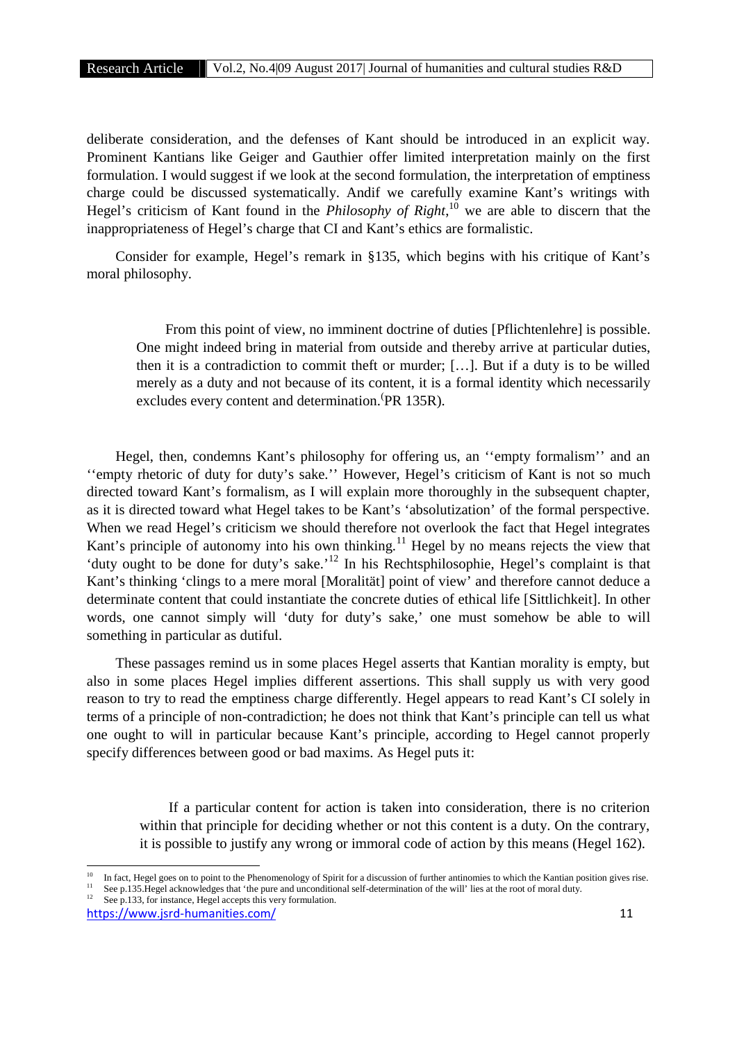deliberate consideration, and the defenses of Kant should be introduced in an explicit way. Prominent Kantians like Geiger and Gauthier offer limited interpretation mainly on the first formulation. I would suggest if we look at the second formulation, the interpretation of emptiness charge could be discussed systematically. Andif we carefully examine Kant's writings with Hegel's criticism of Kant found in the *Philosophy of Right*,<sup>10</sup> we are able to discern that the inappropriateness of Hegel's charge that CI and Kant's ethics are formalistic.

Consider for example, Hegel's remark in §135, which begins with his critique of Kant's moral philosophy.

From this point of view, no imminent doctrine of duties [Pflichtenlehre] is possible. One might indeed bring in material from outside and thereby arrive at particular duties, then it is a contradiction to commit theft or murder; […]. But if a duty is to be willed merely as a duty and not because of its content, it is a formal identity which necessarily excludes every content and determination.  $PR$  135R).

Hegel, then, condemns Kant's philosophy for offering us, an ''empty formalism'' and an ''empty rhetoric of duty for duty's sake.'' However, Hegel's criticism of Kant is not so much directed toward Kant's formalism, as I will explain more thoroughly in the subsequent chapter, as it is directed toward what Hegel takes to be Kant's 'absolutization' of the formal perspective. When we read Hegel's criticism we should therefore not overlook the fact that Hegel integrates Kant's principle of autonomy into his own thinking.<sup>11</sup> Hegel by no means rejects the view that 'duty ought to be done for duty's sake.'<sup>12</sup> In his Rechtsphilosophie, Hegel's complaint is that Kant's thinking 'clings to a mere moral [Moralität] point of view' and therefore cannot deduce a determinate content that could instantiate the concrete duties of ethical life [Sittlichkeit]. In other words, one cannot simply will 'duty for duty's sake,' one must somehow be able to will something in particular as dutiful.

These passages remind us in some places Hegel asserts that Kantian morality is empty, but also in some places Hegel implies different assertions. This shall supply us with very good reason to try to read the emptiness charge differently. Hegel appears to read Kant's CI solely in terms of a principle of non-contradiction; he does not think that Kant's principle can tell us what one ought to will in particular because Kant's principle, according to Hegel cannot properly specify differences between good or bad maxims. As Hegel puts it:

If a particular content for action is taken into consideration, there is no criterion within that principle for deciding whether or not this content is a duty. On the contrary, it is possible to justify any wrong or immoral code of action by this means (Hegel 162).

<sup>11</sup> See p.135.Hegel acknowledges that 'the pure and unconditional self-determination of the will' lies at the root of moral duty.<br><sup>12</sup> See p.133, for instance, Hegel accepts this very formulation.

<sup>&</sup>lt;sup>10</sup> In fact, Hegel goes on to point to the Phenomenology of Spirit for a discussion of further antinomies to which the Kantian position gives rise.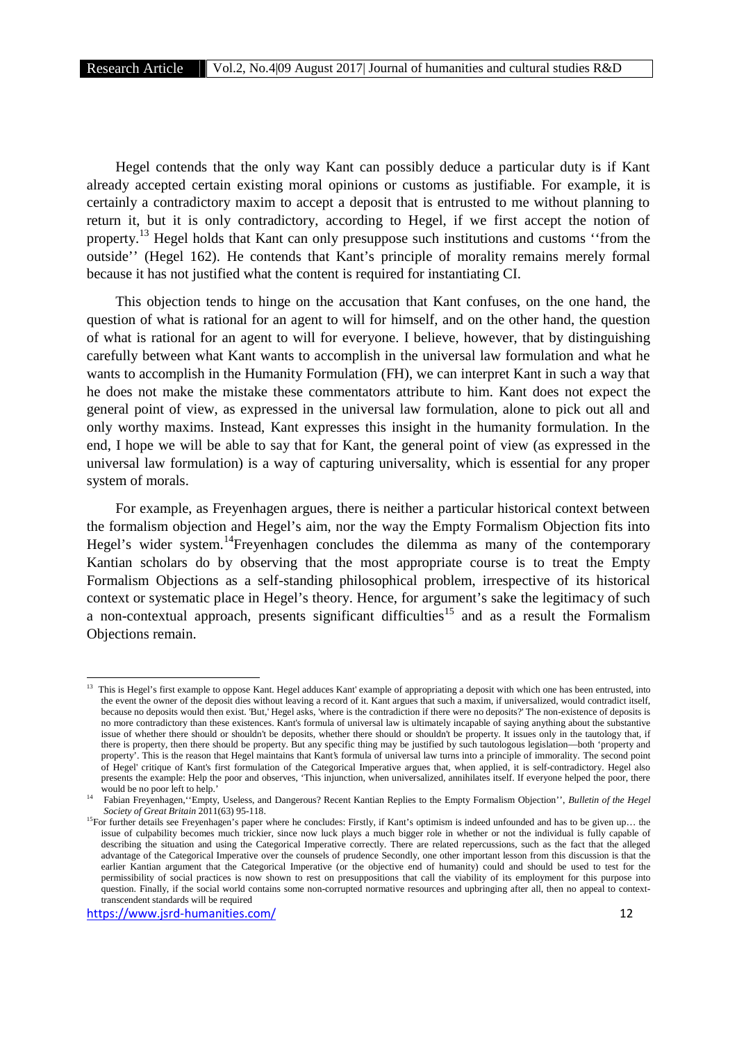Hegel contends that the only way Kant can possibly deduce a particular duty is if Kant already accepted certain existing moral opinions or customs as justifiable. For example, it is certainly a contradictory maxim to accept a deposit that is entrusted to me without planning to return it, but it is only contradictory, according to Hegel, if we first accept the notion of property.<sup>13</sup> Hegel holds that Kant can only presuppose such institutions and customs ''from the outside'' (Hegel 162). He contends that Kant's principle of morality remains merely formal because it has not justified what the content is required for instantiating CI.

This objection tends to hinge on the accusation that Kant confuses, on the one hand, the question of what is rational for an agent to will for himself, and on the other hand, the question of what is rational for an agent to will for everyone. I believe, however, that by distinguishing carefully between what Kant wants to accomplish in the universal law formulation and what he wants to accomplish in the Humanity Formulation (FH), we can interpret Kant in such a way that he does not make the mistake these commentators attribute to him. Kant does not expect the general point of view, as expressed in the universal law formulation, alone to pick out all and only worthy maxims. Instead, Kant expresses this insight in the humanity formulation. In the end, I hope we will be able to say that for Kant, the general point of view (as expressed in the universal law formulation) is a way of capturing universality, which is essential for any proper system of morals.

For example, as Freyenhagen argues, there is neither a particular historical context between the formalism objection and Hegel's aim, nor the way the Empty Formalism Objection fits into Hegel's wider system.<sup>14</sup>Freyenhagen concludes the dilemma as many of the contemporary Kantian scholars do by observing that the most appropriate course is to treat the Empty Formalism Objections as a self-standing philosophical problem, irrespective of its historical context or systematic place in Hegel's theory. Hence, for argument's sake the legitimacy of such a non-contextual approach, presents significant difficulties<sup>15</sup> and as a result the Formalism Objections remain.

<sup>&</sup>lt;sup>13</sup> This is Hegel's first example to oppose Kant. Hegel adduces Kant' example of appropriating a deposit with which one has been entrusted, into the event the owner of the deposit dies without leaving a record of it. Kant argues that such a maxim, if universalized, would contradict itself, because no deposits would then exist. 'But,' Hegel asks, 'where is the contradiction if there were no deposits?' The non-existence of deposits is no more contradictory than these existences. Kant's formula of universal law is ultimately incapable of saying anything about the substantive issue of whether there should or shouldn't be deposits, whether there should or shouldn't be property. It issues only in the tautology that, if there is property, then there should be property. But any specific thing may be justified by such tautologous legislation—both 'property and property'. This is the reason that Hegel maintains that Kant's formula of universal law turns into a principle of immorality. The second point of Hegel' critique of Kant's first formulation of the Categorical Imperative argues that, when applied, it is self-contradictory. Hegel also presents the example: Help the poor and observes, 'This injunction, when universalized, annihilates itself. If everyone helped the poor, there would be no poor left to help.'

<sup>14</sup> Fabian Freyenhagen,''Empty, Useless, and Dangerous? Recent Kantian Replies to the Empty Formalism Objection'', *Bulletin of the Hegel Society of Great Britain* 2011(63) 95-118.

<sup>&</sup>lt;sup>15</sup>For further details see Freyenhagen's paper where he concludes: Firstly, if Kant's optimism is indeed unfounded and has to be given up... the issue of culpability becomes much trickier, since now luck plays a much bigger role in whether or not the individual is fully capable of describing the situation and using the Categorical Imperative correctly. There are related repercussions, such as the fact that the alleged advantage of the Categorical Imperative over the counsels of prudence Secondly, one other important lesson from this discussion is that the earlier Kantian argument that the Categorical Imperative (or the objective end of humanity) could and should be used to test for the permissibility of social practices is now shown to rest on presuppositions that call the viability of its employment for this purpose into question. Finally, if the social world contains some non-corrupted normative resources and upbringing after all, then no appeal to contexttranscendent standards will be required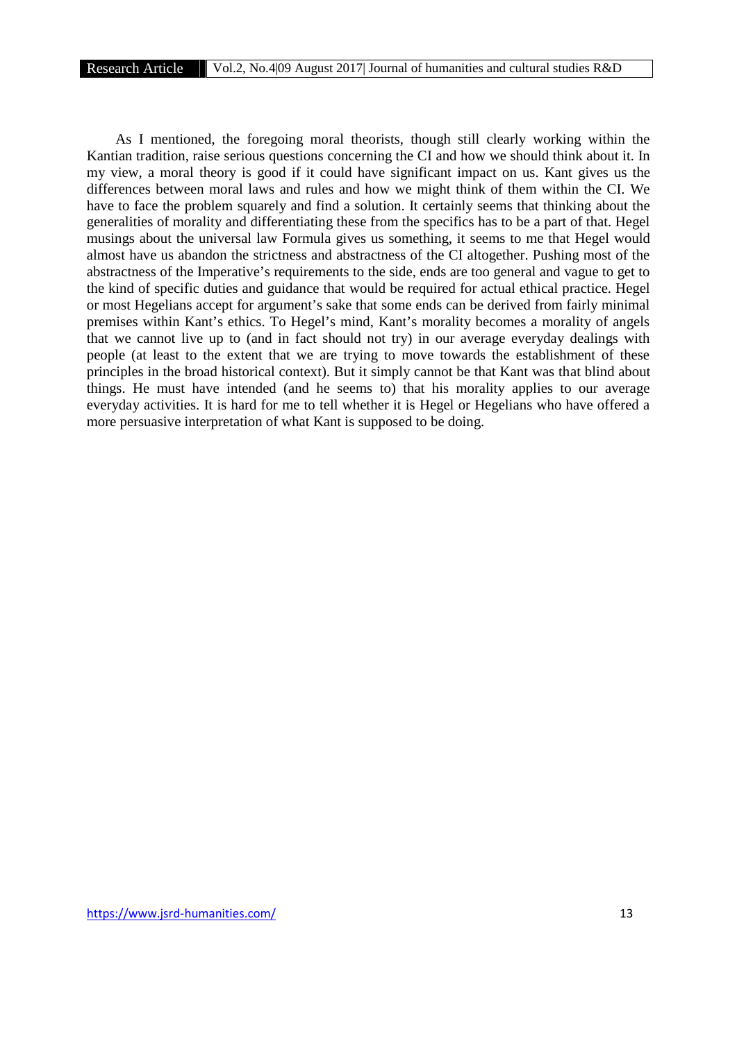As I mentioned, the foregoing moral theorists, though still clearly working within the Kantian tradition, raise serious questions concerning the CI and how we should think about it. In my view, a moral theory is good if it could have significant impact on us. Kant gives us the differences between moral laws and rules and how we might think of them within the CI. We have to face the problem squarely and find a solution. It certainly seems that thinking about the generalities of morality and differentiating these from the specifics has to be a part of that. Hegel musings about the universal law Formula gives us something, it seems to me that Hegel would almost have us abandon the strictness and abstractness of the CI altogether. Pushing most of the abstractness of the Imperative's requirements to the side, ends are too general and vague to get to the kind of specific duties and guidance that would be required for actual ethical practice. Hegel or most Hegelians accept for argument's sake that some ends can be derived from fairly minimal premises within Kant's ethics. To Hegel's mind, Kant's morality becomes a morality of angels that we cannot live up to (and in fact should not try) in our average everyday dealings with people (at least to the extent that we are trying to move towards the establishment of these principles in the broad historical context). But it simply cannot be that Kant was that blind about things. He must have intended (and he seems to) that his morality applies to our average everyday activities. It is hard for me to tell whether it is Hegel or Hegelians who have offered a more persuasive interpretation of what Kant is supposed to be doing.